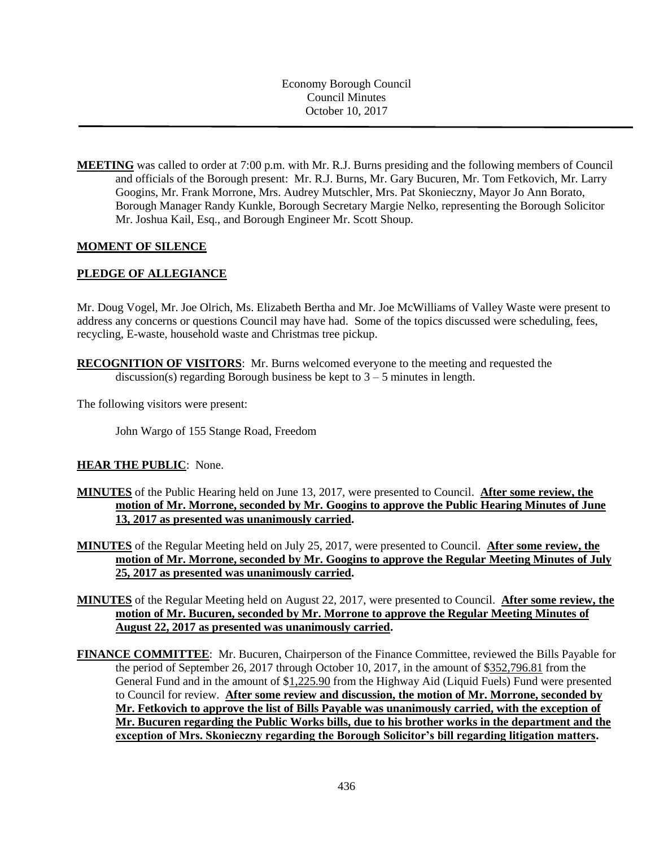Economy Borough Council Council Minutes October 10, 2017

**MEETING** was called to order at 7:00 p.m. with Mr. R.J. Burns presiding and the following members of Council and officials of the Borough present: Mr. R.J. Burns, Mr. Gary Bucuren, Mr. Tom Fetkovich, Mr. Larry Googins, Mr. Frank Morrone, Mrs. Audrey Mutschler, Mrs. Pat Skonieczny, Mayor Jo Ann Borato, Borough Manager Randy Kunkle, Borough Secretary Margie Nelko, representing the Borough Solicitor Mr. Joshua Kail, Esq., and Borough Engineer Mr. Scott Shoup.

### **MOMENT OF SILENCE**

## **PLEDGE OF ALLEGIANCE**

Mr. Doug Vogel, Mr. Joe Olrich, Ms. Elizabeth Bertha and Mr. Joe McWilliams of Valley Waste were present to address any concerns or questions Council may have had. Some of the topics discussed were scheduling, fees, recycling, E-waste, household waste and Christmas tree pickup.

**RECOGNITION OF VISITORS**: Mr. Burns welcomed everyone to the meeting and requested the discussion(s) regarding Borough business be kept to  $3 - 5$  minutes in length.

The following visitors were present:

John Wargo of 155 Stange Road, Freedom

### **HEAR THE PUBLIC**: None.

- **MINUTES** of the Public Hearing held on June 13, 2017, were presented to Council. **After some review, the motion of Mr. Morrone, seconded by Mr. Googins to approve the Public Hearing Minutes of June 13, 2017 as presented was unanimously carried.**
- **MINUTES** of the Regular Meeting held on July 25, 2017, were presented to Council. **After some review, the motion of Mr. Morrone, seconded by Mr. Googins to approve the Regular Meeting Minutes of July 25, 2017 as presented was unanimously carried.**
- **MINUTES** of the Regular Meeting held on August 22, 2017, were presented to Council. **After some review, the motion of Mr. Bucuren, seconded by Mr. Morrone to approve the Regular Meeting Minutes of August 22, 2017 as presented was unanimously carried.**
- **FINANCE COMMITTEE**: Mr. Bucuren, Chairperson of the Finance Committee, reviewed the Bills Payable for the period of September 26, 2017 through October 10, 2017, in the amount of \$352,796.81 from the General Fund and in the amount of \$1,225.90 from the Highway Aid (Liquid Fuels) Fund were presented to Council for review. **After some review and discussion, the motion of Mr. Morrone, seconded by Mr. Fetkovich to approve the list of Bills Payable was unanimously carried, with the exception of Mr. Bucuren regarding the Public Works bills, due to his brother works in the department and the exception of Mrs. Skonieczny regarding the Borough Solicitor's bill regarding litigation matters.**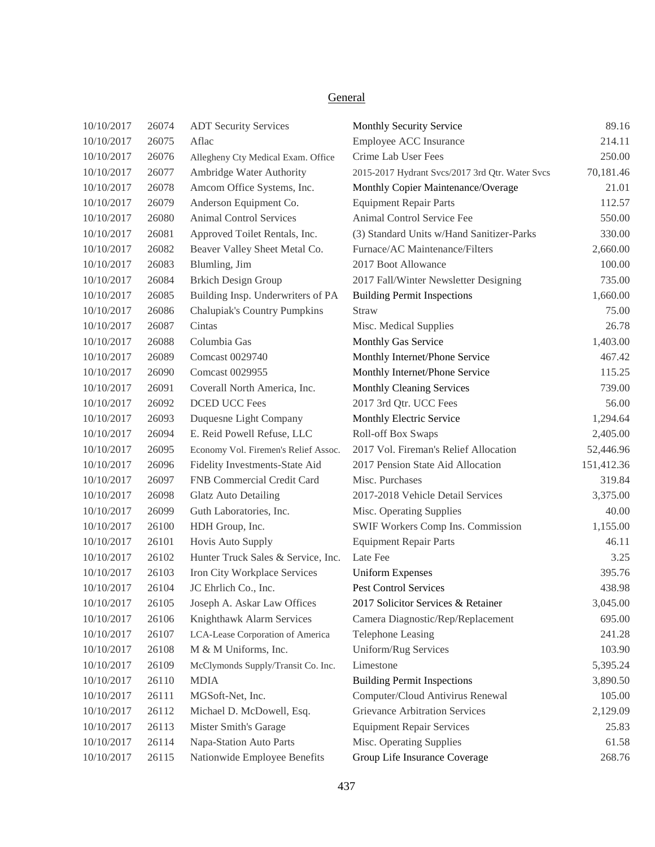# **General**

| 10/10/2017 | 26074 | <b>ADT Security Services</b>         | Monthly Security Service                        | 89.16      |
|------------|-------|--------------------------------------|-------------------------------------------------|------------|
| 10/10/2017 | 26075 | Aflac                                | Employee ACC Insurance                          | 214.11     |
| 10/10/2017 | 26076 | Allegheny Cty Medical Exam. Office   | Crime Lab User Fees                             | 250.00     |
| 10/10/2017 | 26077 | Ambridge Water Authority             | 2015-2017 Hydrant Svcs/2017 3rd Qtr. Water Svcs | 70,181.46  |
| 10/10/2017 | 26078 | Amcom Office Systems, Inc.           | Monthly Copier Maintenance/Overage              | 21.01      |
| 10/10/2017 | 26079 | Anderson Equipment Co.               | <b>Equipment Repair Parts</b>                   | 112.57     |
| 10/10/2017 | 26080 | <b>Animal Control Services</b>       | Animal Control Service Fee                      | 550.00     |
| 10/10/2017 | 26081 | Approved Toilet Rentals, Inc.        | (3) Standard Units w/Hand Sanitizer-Parks       | 330.00     |
| 10/10/2017 | 26082 | Beaver Valley Sheet Metal Co.        | Furnace/AC Maintenance/Filters                  | 2,660.00   |
| 10/10/2017 | 26083 | Blumling, Jim                        | 2017 Boot Allowance                             | 100.00     |
| 10/10/2017 | 26084 | <b>Brkich Design Group</b>           | 2017 Fall/Winter Newsletter Designing           | 735.00     |
| 10/10/2017 | 26085 | Building Insp. Underwriters of PA    | <b>Building Permit Inspections</b>              | 1,660.00   |
| 10/10/2017 | 26086 | <b>Chalupiak's Country Pumpkins</b>  | Straw                                           | 75.00      |
| 10/10/2017 | 26087 | Cintas                               | Misc. Medical Supplies                          | 26.78      |
| 10/10/2017 | 26088 | Columbia Gas                         | Monthly Gas Service                             | 1,403.00   |
| 10/10/2017 | 26089 | Comcast 0029740                      | Monthly Internet/Phone Service                  | 467.42     |
| 10/10/2017 | 26090 | Comcast 0029955                      | Monthly Internet/Phone Service                  | 115.25     |
| 10/10/2017 | 26091 | Coverall North America, Inc.         | <b>Monthly Cleaning Services</b>                | 739.00     |
| 10/10/2017 | 26092 | <b>DCED UCC Fees</b>                 | 2017 3rd Qtr. UCC Fees                          | 56.00      |
| 10/10/2017 | 26093 | Duquesne Light Company               | Monthly Electric Service                        | 1,294.64   |
| 10/10/2017 | 26094 | E. Reid Powell Refuse, LLC           | Roll-off Box Swaps                              | 2,405.00   |
| 10/10/2017 | 26095 | Economy Vol. Firemen's Relief Assoc. | 2017 Vol. Fireman's Relief Allocation           | 52,446.96  |
| 10/10/2017 | 26096 | Fidelity Investments-State Aid       | 2017 Pension State Aid Allocation               | 151,412.36 |
| 10/10/2017 | 26097 | FNB Commercial Credit Card           | Misc. Purchases                                 | 319.84     |
| 10/10/2017 | 26098 | <b>Glatz Auto Detailing</b>          | 2017-2018 Vehicle Detail Services               | 3,375.00   |
| 10/10/2017 | 26099 | Guth Laboratories, Inc.              | Misc. Operating Supplies                        | 40.00      |
| 10/10/2017 | 26100 | HDH Group, Inc.                      | SWIF Workers Comp Ins. Commission               | 1,155.00   |
| 10/10/2017 | 26101 | Hovis Auto Supply                    | <b>Equipment Repair Parts</b>                   | 46.11      |
| 10/10/2017 | 26102 | Hunter Truck Sales & Service, Inc.   | Late Fee                                        | 3.25       |
| 10/10/2017 | 26103 | Iron City Workplace Services         | <b>Uniform Expenses</b>                         | 395.76     |
| 10/10/2017 | 26104 | JC Ehrlich Co., Inc.                 | <b>Pest Control Services</b>                    | 438.98     |
| 10/10/2017 | 26105 | Joseph A. Askar Law Offices          | 2017 Solicitor Services & Retainer              | 3,045.00   |
| 10/10/2017 | 26106 | Knighthawk Alarm Services            | Camera Diagnostic/Rep/Replacement               | 695.00     |
| 10/10/2017 | 26107 | LCA-Lease Corporation of America     | Telephone Leasing                               | 241.28     |
| 10/10/2017 | 26108 | M & M Uniforms, Inc.                 | Uniform/Rug Services                            | 103.90     |
| 10/10/2017 | 26109 | McClymonds Supply/Transit Co. Inc.   | Limestone                                       | 5,395.24   |
| 10/10/2017 | 26110 | <b>MDIA</b>                          | <b>Building Permit Inspections</b>              | 3,890.50   |
| 10/10/2017 | 26111 | MGSoft-Net, Inc.                     | Computer/Cloud Antivirus Renewal                | 105.00     |
| 10/10/2017 | 26112 | Michael D. McDowell, Esq.            | <b>Grievance Arbitration Services</b>           | 2,129.09   |
| 10/10/2017 | 26113 | Mister Smith's Garage                | <b>Equipment Repair Services</b>                | 25.83      |
| 10/10/2017 | 26114 | Napa-Station Auto Parts              | Misc. Operating Supplies                        | 61.58      |
| 10/10/2017 | 26115 | Nationwide Employee Benefits         | Group Life Insurance Coverage                   | 268.76     |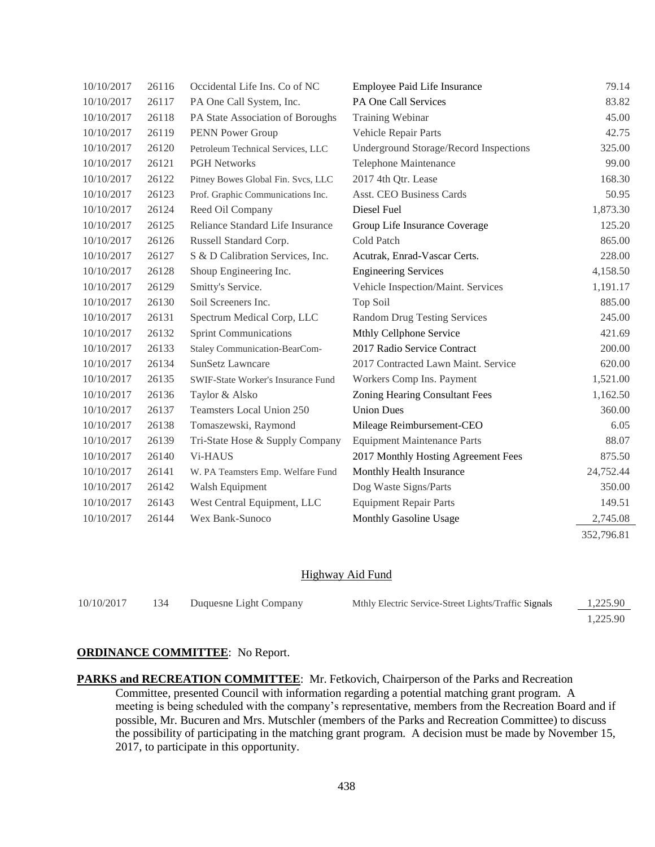| 10/10/2017 | 26116 | Occidental Life Ins. Co of NC             | Employee Paid Life Insurance                  | 79.14      |
|------------|-------|-------------------------------------------|-----------------------------------------------|------------|
| 10/10/2017 | 26117 | PA One Call System, Inc.                  | PA One Call Services                          | 83.82      |
| 10/10/2017 | 26118 | PA State Association of Boroughs          | Training Webinar                              | 45.00      |
| 10/10/2017 | 26119 | PENN Power Group                          | Vehicle Repair Parts                          | 42.75      |
| 10/10/2017 | 26120 | Petroleum Technical Services, LLC         | <b>Underground Storage/Record Inspections</b> | 325.00     |
| 10/10/2017 | 26121 | <b>PGH Networks</b>                       | Telephone Maintenance                         | 99.00      |
| 10/10/2017 | 26122 | Pitney Bowes Global Fin. Svcs, LLC        | 2017 4th Qtr. Lease                           | 168.30     |
| 10/10/2017 | 26123 | Prof. Graphic Communications Inc.         | Asst. CEO Business Cards                      | 50.95      |
| 10/10/2017 | 26124 | Reed Oil Company                          | Diesel Fuel                                   | 1,873.30   |
| 10/10/2017 | 26125 | Reliance Standard Life Insurance          | Group Life Insurance Coverage                 | 125.20     |
| 10/10/2017 | 26126 | Russell Standard Corp.                    | Cold Patch                                    | 865.00     |
| 10/10/2017 | 26127 | S & D Calibration Services, Inc.          | Acutrak, Enrad-Vascar Certs.                  | 228.00     |
| 10/10/2017 | 26128 | Shoup Engineering Inc.                    | <b>Engineering Services</b>                   | 4,158.50   |
| 10/10/2017 | 26129 | Smitty's Service.                         | Vehicle Inspection/Maint. Services            | 1,191.17   |
| 10/10/2017 | 26130 | Soil Screeners Inc.                       | Top Soil                                      | 885.00     |
| 10/10/2017 | 26131 | Spectrum Medical Corp, LLC                | <b>Random Drug Testing Services</b>           | 245.00     |
| 10/10/2017 | 26132 | <b>Sprint Communications</b>              | Mthly Cellphone Service                       | 421.69     |
| 10/10/2017 | 26133 | <b>Staley Communication-BearCom-</b>      | 2017 Radio Service Contract                   | 200.00     |
| 10/10/2017 | 26134 | <b>SunSetz Lawncare</b>                   | 2017 Contracted Lawn Maint. Service           | 620.00     |
| 10/10/2017 | 26135 | <b>SWIF-State Worker's Insurance Fund</b> | Workers Comp Ins. Payment                     | 1,521.00   |
| 10/10/2017 | 26136 | Taylor & Alsko                            | Zoning Hearing Consultant Fees                | 1,162.50   |
| 10/10/2017 | 26137 | Teamsters Local Union 250                 | <b>Union Dues</b>                             | 360.00     |
| 10/10/2017 | 26138 | Tomaszewski, Raymond                      | Mileage Reimbursement-CEO                     | 6.05       |
| 10/10/2017 | 26139 | Tri-State Hose & Supply Company           | <b>Equipment Maintenance Parts</b>            | 88.07      |
| 10/10/2017 | 26140 | Vi-HAUS                                   | 2017 Monthly Hosting Agreement Fees           | 875.50     |
| 10/10/2017 | 26141 | W. PA Teamsters Emp. Welfare Fund         | Monthly Health Insurance                      | 24,752.44  |
| 10/10/2017 | 26142 | Walsh Equipment                           | Dog Waste Signs/Parts                         | 350.00     |
| 10/10/2017 | 26143 | West Central Equipment, LLC               | <b>Equipment Repair Parts</b>                 | 149.51     |
| 10/10/2017 | 26144 | Wex Bank-Sunoco                           | Monthly Gasoline Usage                        | 2,745.08   |
|            |       |                                           |                                               | 352,796.81 |

#### Highway Aid Fund

| 10/10/2017 | 134 | Duquesne Light Company | Mthly Electric Service-Street Lights/Traffic Signals | 1.225.90 |
|------------|-----|------------------------|------------------------------------------------------|----------|
|            |     |                        |                                                      | 1.225.90 |

### **ORDINANCE COMMITTEE**: No Report.

PARKS and RECREATION COMMITTEE: Mr. Fetkovich, Chairperson of the Parks and Recreation Committee, presented Council with information regarding a potential matching grant program. A meeting is being scheduled with the company's representative, members from the Recreation Board and if possible, Mr. Bucuren and Mrs. Mutschler (members of the Parks and Recreation Committee) to discuss the possibility of participating in the matching grant program. A decision must be made by November 15, 2017, to participate in this opportunity.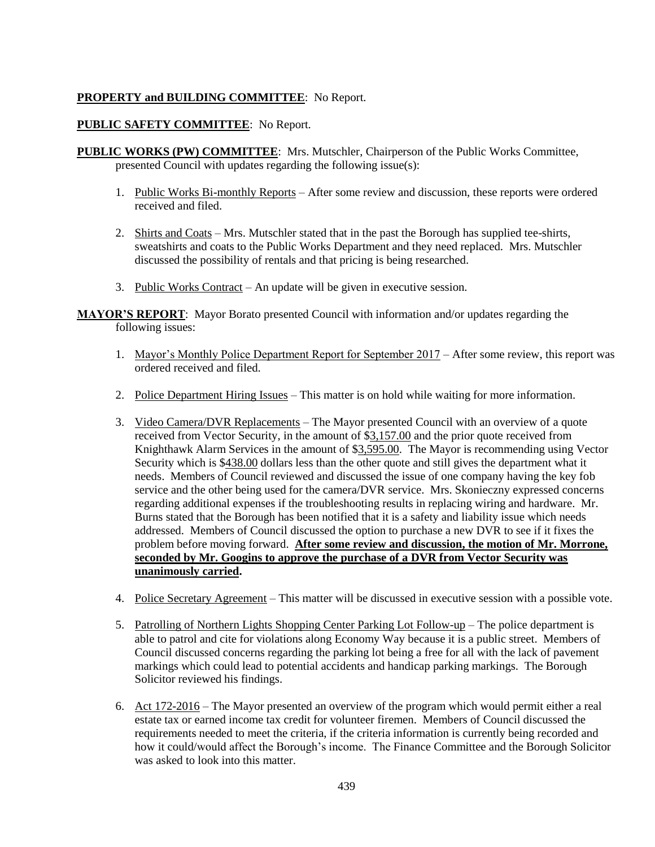## **PROPERTY and BUILDING COMMITTEE**: No Report.

### **PUBLIC SAFETY COMMITTEE**: No Report.

- **PUBLIC WORKS (PW) COMMITTEE**: Mrs. Mutschler, Chairperson of the Public Works Committee, presented Council with updates regarding the following issue(s):
	- 1. Public Works Bi-monthly Reports After some review and discussion, these reports were ordered received and filed.
	- 2. Shirts and Coats Mrs. Mutschler stated that in the past the Borough has supplied tee-shirts, sweatshirts and coats to the Public Works Department and they need replaced. Mrs. Mutschler discussed the possibility of rentals and that pricing is being researched.
	- 3. Public Works Contract An update will be given in executive session.

**MAYOR'S REPORT**: Mayor Borato presented Council with information and/or updates regarding the following issues:

- 1. Mayor's Monthly Police Department Report for September 2017 After some review, this report was ordered received and filed.
- 2. Police Department Hiring Issues This matter is on hold while waiting for more information.
- 3. Video Camera/DVR Replacements The Mayor presented Council with an overview of a quote received from Vector Security, in the amount of \$3,157.00 and the prior quote received from Knighthawk Alarm Services in the amount of \$3,595.00. The Mayor is recommending using Vector Security which is \$438.00 dollars less than the other quote and still gives the department what it needs. Members of Council reviewed and discussed the issue of one company having the key fob service and the other being used for the camera/DVR service. Mrs. Skonieczny expressed concerns regarding additional expenses if the troubleshooting results in replacing wiring and hardware. Mr. Burns stated that the Borough has been notified that it is a safety and liability issue which needs addressed. Members of Council discussed the option to purchase a new DVR to see if it fixes the problem before moving forward. **After some review and discussion, the motion of Mr. Morrone, seconded by Mr. Googins to approve the purchase of a DVR from Vector Security was unanimously carried.**
- 4. Police Secretary Agreement This matter will be discussed in executive session with a possible vote.
- 5. Patrolling of Northern Lights Shopping Center Parking Lot Follow-up The police department is able to patrol and cite for violations along Economy Way because it is a public street. Members of Council discussed concerns regarding the parking lot being a free for all with the lack of pavement markings which could lead to potential accidents and handicap parking markings. The Borough Solicitor reviewed his findings.
- 6. Act 172-2016 The Mayor presented an overview of the program which would permit either a real estate tax or earned income tax credit for volunteer firemen. Members of Council discussed the requirements needed to meet the criteria, if the criteria information is currently being recorded and how it could/would affect the Borough's income. The Finance Committee and the Borough Solicitor was asked to look into this matter.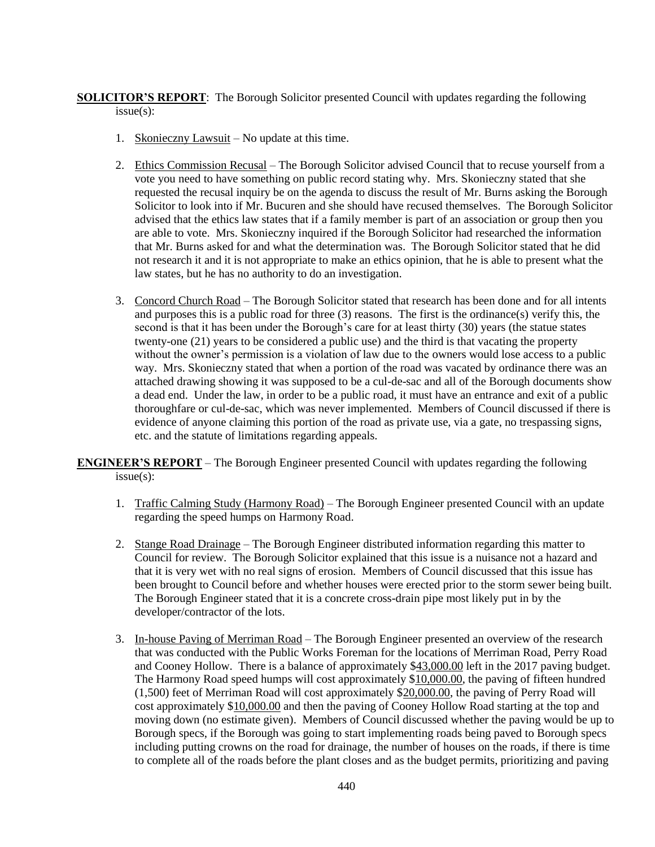**SOLICITOR'S REPORT**: The Borough Solicitor presented Council with updates regarding the following issue(s):

- 1. Skonieczny Lawsuit No update at this time.
- 2. Ethics Commission Recusal The Borough Solicitor advised Council that to recuse yourself from a vote you need to have something on public record stating why. Mrs. Skonieczny stated that she requested the recusal inquiry be on the agenda to discuss the result of Mr. Burns asking the Borough Solicitor to look into if Mr. Bucuren and she should have recused themselves. The Borough Solicitor advised that the ethics law states that if a family member is part of an association or group then you are able to vote. Mrs. Skonieczny inquired if the Borough Solicitor had researched the information that Mr. Burns asked for and what the determination was. The Borough Solicitor stated that he did not research it and it is not appropriate to make an ethics opinion, that he is able to present what the law states, but he has no authority to do an investigation.
- 3. Concord Church Road The Borough Solicitor stated that research has been done and for all intents and purposes this is a public road for three  $(3)$  reasons. The first is the ordinance $(s)$  verify this, the second is that it has been under the Borough's care for at least thirty (30) years (the statue states twenty-one (21) years to be considered a public use) and the third is that vacating the property without the owner's permission is a violation of law due to the owners would lose access to a public way. Mrs. Skonieczny stated that when a portion of the road was vacated by ordinance there was an attached drawing showing it was supposed to be a cul-de-sac and all of the Borough documents show a dead end. Under the law, in order to be a public road, it must have an entrance and exit of a public thoroughfare or cul-de-sac, which was never implemented. Members of Council discussed if there is evidence of anyone claiming this portion of the road as private use, via a gate, no trespassing signs, etc. and the statute of limitations regarding appeals.

**ENGINEER'S REPORT** – The Borough Engineer presented Council with updates regarding the following issue(s):

- 1. Traffic Calming Study (Harmony Road) The Borough Engineer presented Council with an update regarding the speed humps on Harmony Road.
- 2. Stange Road Drainage The Borough Engineer distributed information regarding this matter to Council for review. The Borough Solicitor explained that this issue is a nuisance not a hazard and that it is very wet with no real signs of erosion. Members of Council discussed that this issue has been brought to Council before and whether houses were erected prior to the storm sewer being built. The Borough Engineer stated that it is a concrete cross-drain pipe most likely put in by the developer/contractor of the lots.
- 3. In-house Paving of Merriman Road The Borough Engineer presented an overview of the research that was conducted with the Public Works Foreman for the locations of Merriman Road, Perry Road and Cooney Hollow. There is a balance of approximately \$43,000.00 left in the 2017 paving budget. The Harmony Road speed humps will cost approximately \$10,000.00, the paving of fifteen hundred (1,500) feet of Merriman Road will cost approximately \$20,000.00, the paving of Perry Road will cost approximately \$10,000.00 and then the paving of Cooney Hollow Road starting at the top and moving down (no estimate given). Members of Council discussed whether the paving would be up to Borough specs, if the Borough was going to start implementing roads being paved to Borough specs including putting crowns on the road for drainage, the number of houses on the roads, if there is time to complete all of the roads before the plant closes and as the budget permits, prioritizing and paving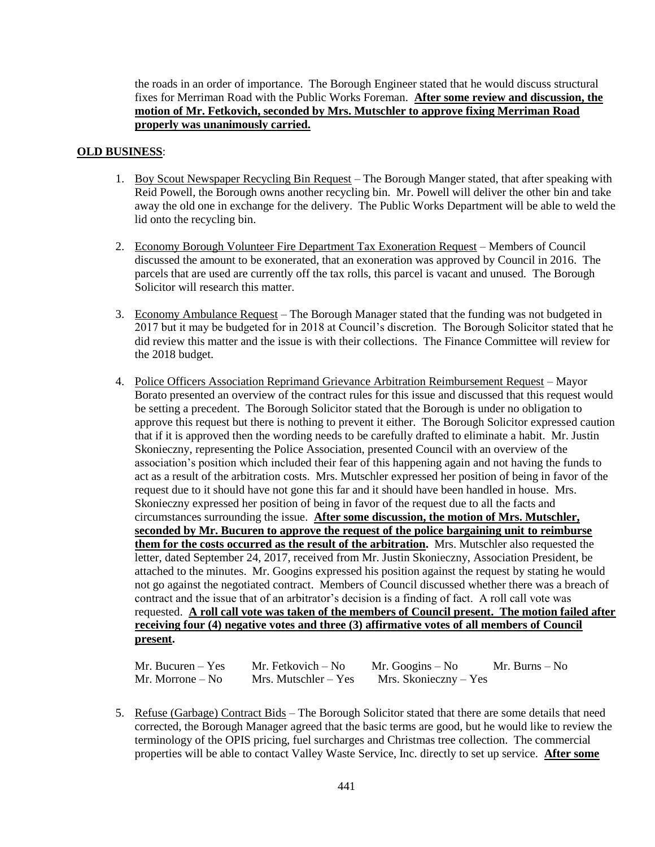the roads in an order of importance. The Borough Engineer stated that he would discuss structural fixes for Merriman Road with the Public Works Foreman. **After some review and discussion, the motion of Mr. Fetkovich, seconded by Mrs. Mutschler to approve fixing Merriman Road properly was unanimously carried.**

### **OLD BUSINESS**:

- 1. Boy Scout Newspaper Recycling Bin Request The Borough Manger stated, that after speaking with Reid Powell, the Borough owns another recycling bin. Mr. Powell will deliver the other bin and take away the old one in exchange for the delivery. The Public Works Department will be able to weld the lid onto the recycling bin.
- 2. Economy Borough Volunteer Fire Department Tax Exoneration Request Members of Council discussed the amount to be exonerated, that an exoneration was approved by Council in 2016. The parcels that are used are currently off the tax rolls, this parcel is vacant and unused. The Borough Solicitor will research this matter.
- 3. Economy Ambulance Request The Borough Manager stated that the funding was not budgeted in 2017 but it may be budgeted for in 2018 at Council's discretion. The Borough Solicitor stated that he did review this matter and the issue is with their collections. The Finance Committee will review for the 2018 budget.
- 4. Police Officers Association Reprimand Grievance Arbitration Reimbursement Request Mayor Borato presented an overview of the contract rules for this issue and discussed that this request would be setting a precedent. The Borough Solicitor stated that the Borough is under no obligation to approve this request but there is nothing to prevent it either. The Borough Solicitor expressed caution that if it is approved then the wording needs to be carefully drafted to eliminate a habit. Mr. Justin Skonieczny, representing the Police Association, presented Council with an overview of the association's position which included their fear of this happening again and not having the funds to act as a result of the arbitration costs. Mrs. Mutschler expressed her position of being in favor of the request due to it should have not gone this far and it should have been handled in house. Mrs. Skonieczny expressed her position of being in favor of the request due to all the facts and circumstances surrounding the issue. **After some discussion, the motion of Mrs. Mutschler, seconded by Mr. Bucuren to approve the request of the police bargaining unit to reimburse them for the costs occurred as the result of the arbitration.** Mrs. Mutschler also requested the letter, dated September 24, 2017, received from Mr. Justin Skonieczny, Association President, be attached to the minutes. Mr. Googins expressed his position against the request by stating he would not go against the negotiated contract. Members of Council discussed whether there was a breach of contract and the issue that of an arbitrator's decision is a finding of fact. A roll call vote was requested. **A roll call vote was taken of the members of Council present. The motion failed after receiving four (4) negative votes and three (3) affirmative votes of all members of Council present.**

| $Mr. Bucuren - Yes$ | Mr. Fetkovich – No   | Mr. Googins $-$ No    | Mr. Burns – No |
|---------------------|----------------------|-----------------------|----------------|
| Mr. Morrone $-$ No  | Mrs. Mutschler – Yes | Mrs. Skonieczny – Yes |                |

5. Refuse (Garbage) Contract Bids – The Borough Solicitor stated that there are some details that need corrected, the Borough Manager agreed that the basic terms are good, but he would like to review the terminology of the OPIS pricing, fuel surcharges and Christmas tree collection. The commercial properties will be able to contact Valley Waste Service, Inc. directly to set up service. **After some**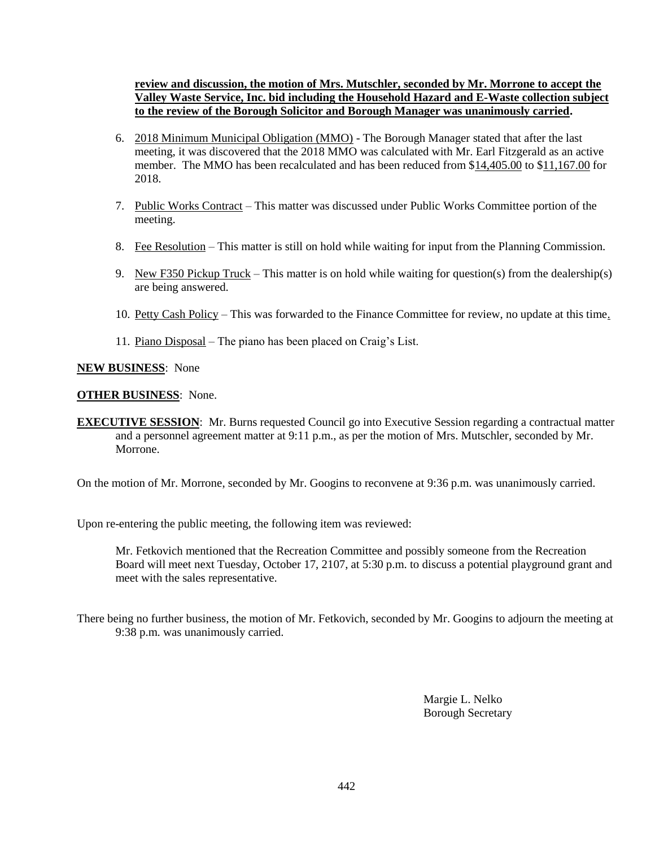**review and discussion, the motion of Mrs. Mutschler, seconded by Mr. Morrone to accept the Valley Waste Service, Inc. bid including the Household Hazard and E-Waste collection subject to the review of the Borough Solicitor and Borough Manager was unanimously carried.**

- 6. 2018 Minimum Municipal Obligation (MMO) The Borough Manager stated that after the last meeting, it was discovered that the 2018 MMO was calculated with Mr. Earl Fitzgerald as an active member. The MMO has been recalculated and has been reduced from \$14,405.00 to \$11,167.00 for 2018.
- 7. Public Works Contract This matter was discussed under Public Works Committee portion of the meeting.
- 8. Fee Resolution This matter is still on hold while waiting for input from the Planning Commission.
- 9. New F350 Pickup Truck This matter is on hold while waiting for question(s) from the dealership(s) are being answered.
- 10. Petty Cash Policy This was forwarded to the Finance Committee for review, no update at this time.
- 11. Piano Disposal The piano has been placed on Craig's List.

### **NEW BUSINESS**: None

### **OTHER BUSINESS**: None.

**EXECUTIVE SESSION**: Mr. Burns requested Council go into Executive Session regarding a contractual matter and a personnel agreement matter at 9:11 p.m., as per the motion of Mrs. Mutschler, seconded by Mr. Morrone.

On the motion of Mr. Morrone, seconded by Mr. Googins to reconvene at 9:36 p.m. was unanimously carried.

Upon re-entering the public meeting, the following item was reviewed:

Mr. Fetkovich mentioned that the Recreation Committee and possibly someone from the Recreation Board will meet next Tuesday, October 17, 2107, at 5:30 p.m. to discuss a potential playground grant and meet with the sales representative.

There being no further business, the motion of Mr. Fetkovich, seconded by Mr. Googins to adjourn the meeting at 9:38 p.m. was unanimously carried.

> Margie L. Nelko Borough Secretary